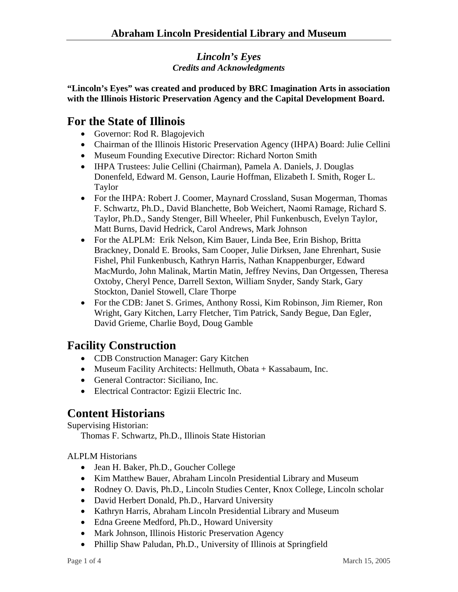#### *Lincoln's Eyes Credits and Acknowledgments*

**"Lincoln's Eyes" was created and produced by BRC Imagination Arts in association with the Illinois Historic Preservation Agency and the Capital Development Board.** 

## **For the State of Illinois**

- Governor: Rod R. Blagojevich
- Chairman of the Illinois Historic Preservation Agency (IHPA) Board: Julie Cellini
- Museum Founding Executive Director: Richard Norton Smith
- IHPA Trustees: Julie Cellini (Chairman), Pamela A. Daniels, J. Douglas Donenfeld, Edward M. Genson, Laurie Hoffman, Elizabeth I. Smith, Roger L. Taylor
- For the IHPA: Robert J. Coomer, Maynard Crossland, Susan Mogerman, Thomas F. Schwartz, Ph.D., David Blanchette, Bob Weichert, Naomi Ramage, Richard S. Taylor, Ph.D., Sandy Stenger, Bill Wheeler, Phil Funkenbusch, Evelyn Taylor, Matt Burns, David Hedrick, Carol Andrews, Mark Johnson
- For the ALPLM: Erik Nelson, Kim Bauer, Linda Bee, Erin Bishop, Britta Brackney, Donald E. Brooks, Sam Cooper, Julie Dirksen, Jane Ehrenhart, Susie Fishel, Phil Funkenbusch, Kathryn Harris, Nathan Knappenburger, Edward MacMurdo, John Malinak, Martin Matin, Jeffrey Nevins, Dan Ortgessen, Theresa Oxtoby, Cheryl Pence, Darrell Sexton, William Snyder, Sandy Stark, Gary Stockton, Daniel Stowell, Clare Thorpe
- For the CDB: Janet S. Grimes, Anthony Rossi, Kim Robinson, Jim Riemer, Ron Wright, Gary Kitchen, Larry Fletcher, Tim Patrick, Sandy Begue, Dan Egler, David Grieme, Charlie Boyd, Doug Gamble

## **Facility Construction**

- CDB Construction Manager: Gary Kitchen
- Museum Facility Architects: Hellmuth, Obata + Kassabaum, Inc.
- General Contractor: Siciliano, Inc.
- Electrical Contractor: Egizii Electric Inc.

# **Content Historians**

Supervising Historian:

Thomas F. Schwartz, Ph.D., Illinois State Historian

ALPLM Historians

- Jean H. Baker, Ph.D., Goucher College
- Kim Matthew Bauer, Abraham Lincoln Presidential Library and Museum
- Rodney O. Davis, Ph.D., Lincoln Studies Center, Knox College, Lincoln scholar
- David Herbert Donald, Ph.D., Harvard University
- Kathryn Harris, Abraham Lincoln Presidential Library and Museum
- Edna Greene Medford, Ph.D., Howard University
- Mark Johnson, Illinois Historic Preservation Agency
- Phillip Shaw Paludan, Ph.D., University of Illinois at Springfield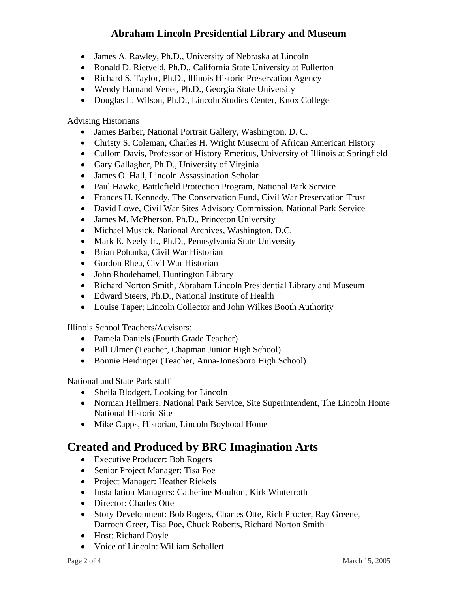### **Abraham Lincoln Presidential Library and Museum**

- James A. Rawley, Ph.D., University of Nebraska at Lincoln
- Ronald D. Rietveld, Ph.D., California State University at Fullerton
- Richard S. Taylor, Ph.D., Illinois Historic Preservation Agency
- Wendy Hamand Venet, Ph.D., Georgia State University
- Douglas L. Wilson, Ph.D., Lincoln Studies Center, Knox College

Advising Historians

- James Barber, National Portrait Gallery, Washington, D. C.
- Christy S. Coleman, Charles H. Wright Museum of African American History
- Cullom Davis, Professor of History Emeritus, University of Illinois at Springfield
- Gary Gallagher, Ph.D., University of Virginia
- James O. Hall, Lincoln Assassination Scholar
- Paul Hawke, Battlefield Protection Program, National Park Service
- Frances H. Kennedy, The Conservation Fund, Civil War Preservation Trust
- David Lowe, Civil War Sites Advisory Commission, National Park Service
- James M. McPherson, Ph.D., Princeton University
- Michael Musick, National Archives, Washington, D.C.
- Mark E. Neely Jr., Ph.D., Pennsylvania State University
- Brian Pohanka, Civil War Historian
- Gordon Rhea, Civil War Historian
- John Rhodehamel, Huntington Library
- Richard Norton Smith, Abraham Lincoln Presidential Library and Museum
- Edward Steers, Ph.D., National Institute of Health
- Louise Taper; Lincoln Collector and John Wilkes Booth Authority

Illinois School Teachers/Advisors:

- Pamela Daniels (Fourth Grade Teacher)
- Bill Ulmer (Teacher, Chapman Junior High School)
- Bonnie Heidinger (Teacher, Anna-Jonesboro High School)

National and State Park staff

- Sheila Blodgett, Looking for Lincoln
- Norman Hellmers, National Park Service, Site Superintendent, The Lincoln Home National Historic Site
- Mike Capps, Historian, Lincoln Boyhood Home

## **Created and Produced by BRC Imagination Arts**

- Executive Producer: Bob Rogers
- Senior Project Manager: Tisa Poe
- Project Manager: Heather Riekels
- Installation Managers: Catherine Moulton, Kirk Winterroth
- Director: Charles Otte
- Story Development: Bob Rogers, Charles Otte, Rich Procter, Ray Greene, Darroch Greer, Tisa Poe, Chuck Roberts, Richard Norton Smith
- Host: Richard Doyle
- Voice of Lincoln: William Schallert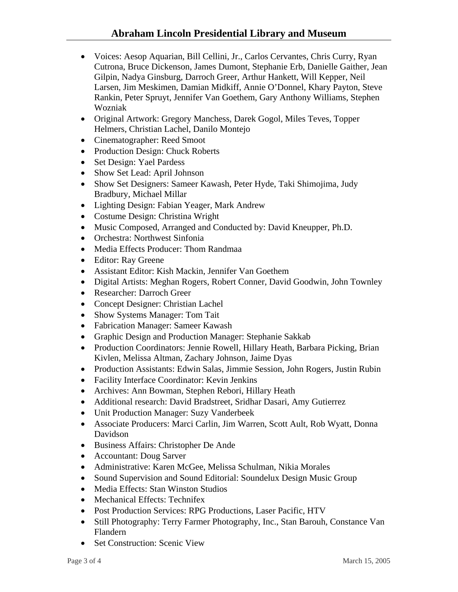- Voices: Aesop Aquarian, Bill Cellini, Jr., Carlos Cervantes, Chris Curry, Ryan Cutrona, Bruce Dickenson, James Dumont, Stephanie Erb, Danielle Gaither, Jean Gilpin, Nadya Ginsburg, Darroch Greer, Arthur Hankett, Will Kepper, Neil Larsen, Jim Meskimen, Damian Midkiff, Annie O'Donnel, Khary Payton, Steve Rankin, Peter Spruyt, Jennifer Van Goethem, Gary Anthony Williams, Stephen Wozniak
- Original Artwork: Gregory Manchess, Darek Gogol, Miles Teves, Topper Helmers, Christian Lachel, Danilo Montejo
- Cinematographer: Reed Smoot
- Production Design: Chuck Roberts
- Set Design: Yael Pardess
- Show Set Lead: April Johnson
- Show Set Designers: Sameer Kawash, Peter Hyde, Taki Shimojima, Judy Bradbury, Michael Millar
- Lighting Design: Fabian Yeager, Mark Andrew
- Costume Design: Christina Wright
- Music Composed, Arranged and Conducted by: David Kneupper, Ph.D.
- Orchestra: Northwest Sinfonia
- Media Effects Producer: Thom Randmaa
- Editor: Ray Greene
- Assistant Editor: Kish Mackin, Jennifer Van Goethem
- Digital Artists: Meghan Rogers, Robert Conner, David Goodwin, John Townley
- Researcher: Darroch Greer
- Concept Designer: Christian Lachel
- Show Systems Manager: Tom Tait
- Fabrication Manager: Sameer Kawash
- Graphic Design and Production Manager: Stephanie Sakkab
- Production Coordinators: Jennie Rowell, Hillary Heath, Barbara Picking, Brian Kivlen, Melissa Altman, Zachary Johnson, Jaime Dyas
- Production Assistants: Edwin Salas, Jimmie Session, John Rogers, Justin Rubin
- Facility Interface Coordinator: Kevin Jenkins
- Archives: Ann Bowman, Stephen Rebori, Hillary Heath
- Additional research: David Bradstreet, Sridhar Dasari, Amy Gutierrez
- Unit Production Manager: Suzy Vanderbeek
- Associate Producers: Marci Carlin, Jim Warren, Scott Ault, Rob Wyatt, Donna Davidson
- Business Affairs: Christopher De Ande
- Accountant: Doug Sarver
- Administrative: Karen McGee, Melissa Schulman, Nikia Morales
- Sound Supervision and Sound Editorial: Soundelux Design Music Group
- Media Effects: Stan Winston Studios
- Mechanical Effects: Technifex
- Post Production Services: RPG Productions, Laser Pacific, HTV
- Still Photography: Terry Farmer Photography, Inc., Stan Barouh, Constance Van Flandern
- Set Construction: Scenic View